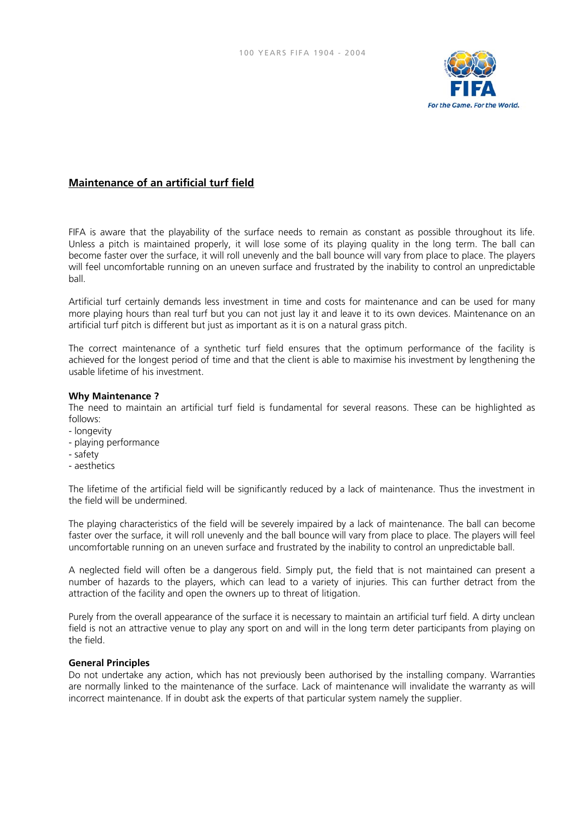

# **Maintenance of an artificial turf field**

FIFA is aware that the playability of the surface needs to remain as constant as possible throughout its life. Unless a pitch is maintained properly, it will lose some of its playing quality in the long term. The ball can become faster over the surface, it will roll unevenly and the ball bounce will vary from place to place. The players will feel uncomfortable running on an uneven surface and frustrated by the inability to control an unpredictable ball.

Artificial turf certainly demands less investment in time and costs for maintenance and can be used for many more playing hours than real turf but you can not just lay it and leave it to its own devices. Maintenance on an artificial turf pitch is different but just as important as it is on a natural grass pitch.

The correct maintenance of a synthetic turf field ensures that the optimum performance of the facility is achieved for the longest period of time and that the client is able to maximise his investment by lengthening the usable lifetime of his investment.

## **Why Maintenance ?**

The need to maintain an artificial turf field is fundamental for several reasons. These can be highlighted as follows:

- longevity
- playing performance
- safety
- aesthetics

The lifetime of the artificial field will be significantly reduced by a lack of maintenance. Thus the investment in the field will be undermined.

The playing characteristics of the field will be severely impaired by a lack of maintenance. The ball can become faster over the surface, it will roll unevenly and the ball bounce will vary from place to place. The players will feel uncomfortable running on an uneven surface and frustrated by the inability to control an unpredictable ball.

A neglected field will often be a dangerous field. Simply put, the field that is not maintained can present a number of hazards to the players, which can lead to a variety of injuries. This can further detract from the attraction of the facility and open the owners up to threat of litigation.

Purely from the overall appearance of the surface it is necessary to maintain an artificial turf field. A dirty unclean field is not an attractive venue to play any sport on and will in the long term deter participants from playing on the field.

## **General Principles**

Do not undertake any action, which has not previously been authorised by the installing company. Warranties are normally linked to the maintenance of the surface. Lack of maintenance will invalidate the warranty as will incorrect maintenance. If in doubt ask the experts of that particular system namely the supplier.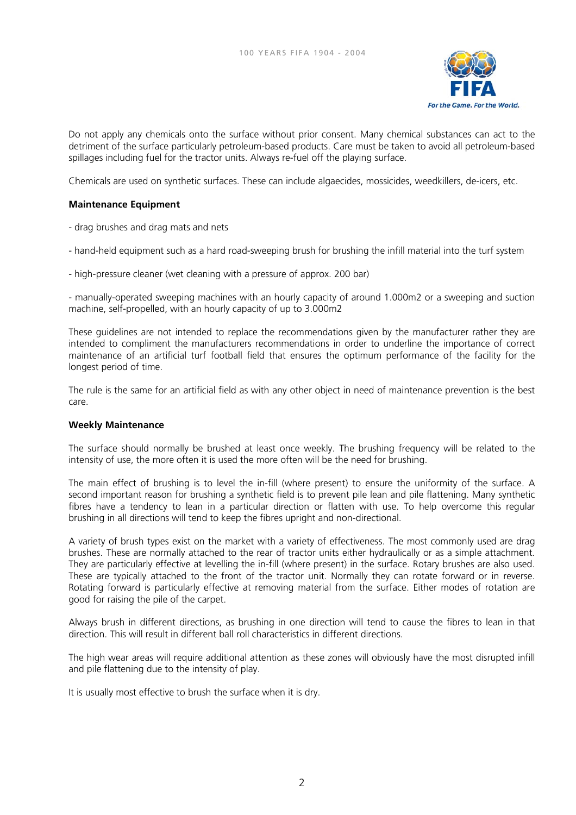

Do not apply any chemicals onto the surface without prior consent. Many chemical substances can act to the detriment of the surface particularly petroleum-based products. Care must be taken to avoid all petroleum-based spillages including fuel for the tractor units. Always re-fuel off the playing surface.

Chemicals are used on synthetic surfaces. These can include algaecides, mossicides, weedkillers, de-icers, etc.

# **Maintenance Equipment**

- drag brushes and drag mats and nets
- hand-held equipment such as a hard road-sweeping brush for brushing the infill material into the turf system
- high-pressure cleaner (wet cleaning with a pressure of approx. 200 bar)

- manually-operated sweeping machines with an hourly capacity of around 1.000m2 or a sweeping and suction machine, self-propelled, with an hourly capacity of up to 3.000m2

These guidelines are not intended to replace the recommendations given by the manufacturer rather they are intended to compliment the manufacturers recommendations in order to underline the importance of correct maintenance of an artificial turf football field that ensures the optimum performance of the facility for the longest period of time.

The rule is the same for an artificial field as with any other object in need of maintenance prevention is the best care.

## **Weekly Maintenance**

The surface should normally be brushed at least once weekly. The brushing frequency will be related to the intensity of use, the more often it is used the more often will be the need for brushing.

The main effect of brushing is to level the in-fill (where present) to ensure the uniformity of the surface. A second important reason for brushing a synthetic field is to prevent pile lean and pile flattening. Many synthetic fibres have a tendency to lean in a particular direction or flatten with use. To help overcome this regular brushing in all directions will tend to keep the fibres upright and non-directional.

A variety of brush types exist on the market with a variety of effectiveness. The most commonly used are drag brushes. These are normally attached to the rear of tractor units either hydraulically or as a simple attachment. They are particularly effective at levelling the in-fill (where present) in the surface. Rotary brushes are also used. These are typically attached to the front of the tractor unit. Normally they can rotate forward or in reverse. Rotating forward is particularly effective at removing material from the surface. Either modes of rotation are good for raising the pile of the carpet.

Always brush in different directions, as brushing in one direction will tend to cause the fibres to lean in that direction. This will result in different ball roll characteristics in different directions.

The high wear areas will require additional attention as these zones will obviously have the most disrupted infill and pile flattening due to the intensity of play.

It is usually most effective to brush the surface when it is dry.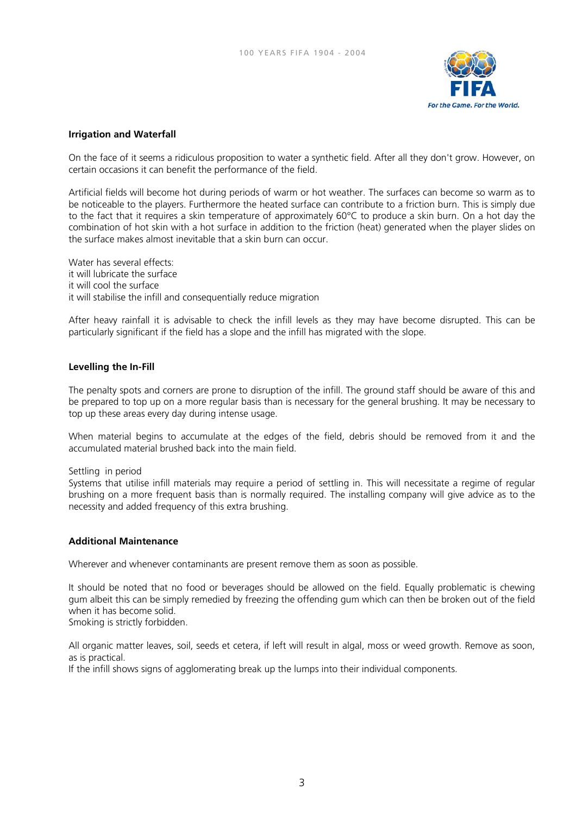

# **Irrigation and Waterfall**

On the face of it seems a ridiculous proposition to water a synthetic field. After all they don't grow. However, on certain occasions it can benefit the performance of the field.

Artificial fields will become hot during periods of warm or hot weather. The surfaces can become so warm as to be noticeable to the players. Furthermore the heated surface can contribute to a friction burn. This is simply due to the fact that it requires a skin temperature of approximately 60°C to produce a skin burn. On a hot day the combination of hot skin with a hot surface in addition to the friction (heat) generated when the player slides on the surface makes almost inevitable that a skin burn can occur.

Water has several effects: it will lubricate the surface it will cool the surface it will stabilise the infill and consequentially reduce migration

After heavy rainfall it is advisable to check the infill levels as they may have become disrupted. This can be particularly significant if the field has a slope and the infill has migrated with the slope.

## **Levelling the In-Fill**

The penalty spots and corners are prone to disruption of the infill. The ground staff should be aware of this and be prepared to top up on a more regular basis than is necessary for the general brushing. It may be necessary to top up these areas every day during intense usage.

When material begins to accumulate at the edges of the field, debris should be removed from it and the accumulated material brushed back into the main field.

## Settling in period

Systems that utilise infill materials may require a period of settling in. This will necessitate a regime of regular brushing on a more frequent basis than is normally required. The installing company will give advice as to the necessity and added frequency of this extra brushing.

## **Additional Maintenance**

Wherever and whenever contaminants are present remove them as soon as possible.

It should be noted that no food or beverages should be allowed on the field. Equally problematic is chewing gum albeit this can be simply remedied by freezing the offending gum which can then be broken out of the field when it has become solid.

Smoking is strictly forbidden.

All organic matter leaves, soil, seeds et cetera, if left will result in algal, moss or weed growth. Remove as soon, as is practical.

If the infill shows signs of agglomerating break up the lumps into their individual components.